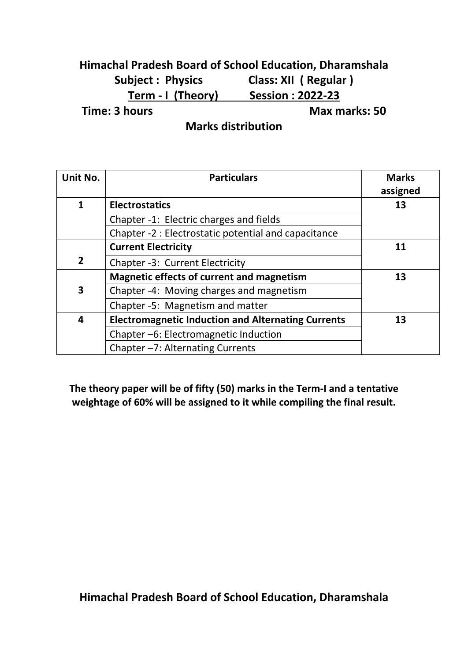## **Himachal Pradesh Board of School Education, Dharamshala Subject : Physics Class: XII ( Regular ) Term - I (Theory) Session : 2022-23 Time: 3 hours Max marks: 50**

**Marks distribution**

| Unit No.     | <b>Particulars</b>                                        | <b>Marks</b><br>assigned |  |
|--------------|-----------------------------------------------------------|--------------------------|--|
| 1            | <b>Electrostatics</b>                                     | 13                       |  |
|              | Chapter -1: Electric charges and fields                   |                          |  |
|              | Chapter -2 : Electrostatic potential and capacitance      |                          |  |
|              | <b>Current Electricity</b>                                | 11                       |  |
| $\mathbf{2}$ | Chapter -3: Current Electricity                           |                          |  |
|              | <b>Magnetic effects of current and magnetism</b>          | 13                       |  |
| 3            | Chapter -4: Moving charges and magnetism                  |                          |  |
|              | Chapter -5: Magnetism and matter                          |                          |  |
| 4            | <b>Electromagnetic Induction and Alternating Currents</b> | 13                       |  |
|              | Chapter-6: Electromagnetic Induction                      |                          |  |
|              | Chapter -7: Alternating Currents                          |                          |  |

**The theory paper will be of fifty (50) marks in the Term-I and a tentative weightage of 60% will be assigned to it while compiling the final result.**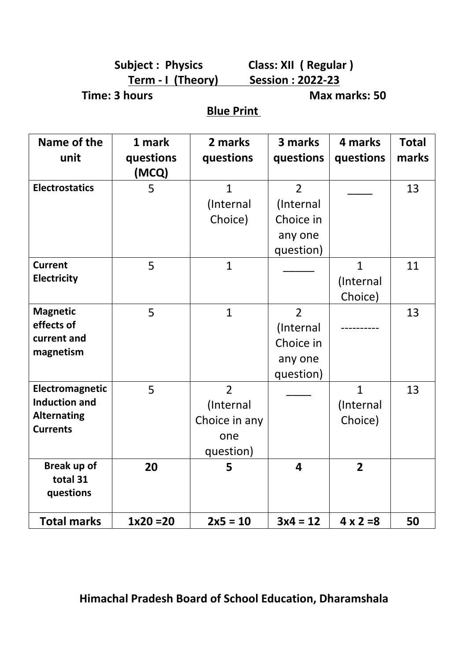**Subject : Physics Class: XII ( Regular ) Term - I (Theory) Session : 2022-23**

**Time: 3 hours Max marks: 50** 

**Blue Print** 

| Name of the<br>unit                                                              | 1 mark<br>questions | 2 marks<br>questions                                             | 3 marks<br>questions                                             | 4 marks<br>questions                 | <b>Total</b><br>marks |
|----------------------------------------------------------------------------------|---------------------|------------------------------------------------------------------|------------------------------------------------------------------|--------------------------------------|-----------------------|
|                                                                                  | (MCQ)               |                                                                  |                                                                  |                                      |                       |
| <b>Electrostatics</b>                                                            | 5                   | $\mathbf{1}$<br>(Internal<br>Choice)                             | $\overline{2}$<br>(Internal<br>Choice in<br>any one<br>question) |                                      | 13                    |
| <b>Current</b><br><b>Electricity</b>                                             | 5                   | $\mathbf{1}$                                                     |                                                                  | $\mathbf{1}$<br>(Internal<br>Choice) | 11                    |
| <b>Magnetic</b><br>effects of<br>current and<br>magnetism                        | 5                   | $\mathbf{1}$                                                     | $\overline{2}$<br>(Internal<br>Choice in<br>any one<br>question) |                                      | 13                    |
| Electromagnetic<br><b>Induction and</b><br><b>Alternating</b><br><b>Currents</b> | 5                   | $\overline{2}$<br>(Internal<br>Choice in any<br>one<br>question) |                                                                  | $\mathbf{1}$<br>(Internal<br>Choice) | 13                    |
| Break up of<br>total 31<br>questions                                             | 20                  | 5                                                                | $\overline{\mathbf{4}}$                                          | $\overline{2}$                       |                       |
| <b>Total marks</b>                                                               | $1x20 = 20$         | $2x5 = 10$                                                       | $3x4 = 12$                                                       | $4 \times 2 = 8$                     | 50                    |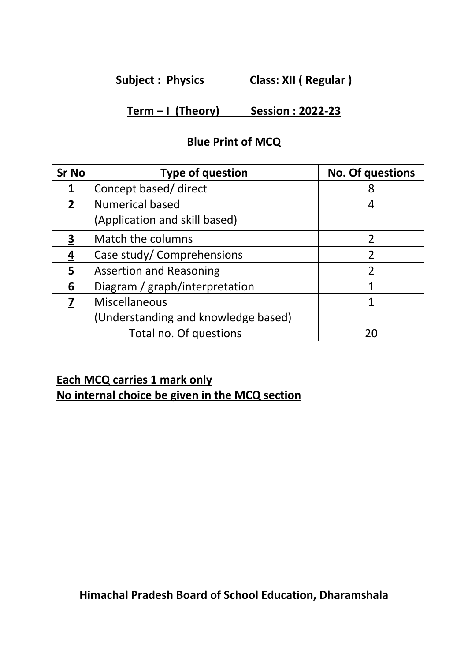**Subject : Physics Class: XII ( Regular )**

## **Term – I (Theory) Session : 2022-23**

### **Blue Print of MCQ**

| <b>Sr No</b>   | <b>Type of question</b>             | <b>No. Of questions</b> |
|----------------|-------------------------------------|-------------------------|
|                | Concept based/ direct               | 8                       |
| $\overline{2}$ | <b>Numerical based</b>              | 4                       |
|                | (Application and skill based)       |                         |
| 3              | Match the columns                   |                         |
| 4              | Case study/ Comprehensions          |                         |
| $\overline{5}$ | <b>Assertion and Reasoning</b>      | 2                       |
| 6              | Diagram / graph/interpretation      |                         |
| 7              | Miscellaneous                       |                         |
|                | (Understanding and knowledge based) |                         |
|                | Total no. Of questions              | 20                      |

# **Each MCQ carries 1 mark only**

**No internal choice be given in the MCQ section**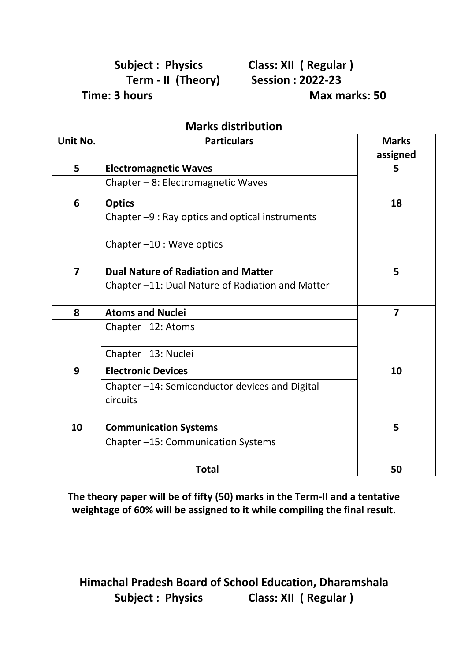## **Subject : Physics Class: XII ( Regular ) Term - II (Theory) Session : 2022-23**

**Time: 3 hours Max marks: 50** 

#### **Marks distribution**

| Unit No.       | <b>Particulars</b>                                         | <b>Marks</b><br>assigned |
|----------------|------------------------------------------------------------|--------------------------|
| 5              | <b>Electromagnetic Waves</b>                               | 5                        |
|                | Chapter - 8: Electromagnetic Waves                         |                          |
| 6              | <b>Optics</b>                                              | 18                       |
|                | Chapter -9 : Ray optics and optical instruments            |                          |
|                | Chapter-10 : Wave optics                                   |                          |
| $\overline{7}$ | <b>Dual Nature of Radiation and Matter</b>                 | 5                        |
|                | Chapter -11: Dual Nature of Radiation and Matter           |                          |
| 8              | <b>Atoms and Nuclei</b>                                    | $\overline{7}$           |
|                | Chapter-12: Atoms                                          |                          |
|                | Chapter-13: Nuclei                                         |                          |
| 9              | <b>Electronic Devices</b>                                  | 10                       |
|                | Chapter -14: Semiconductor devices and Digital<br>circuits |                          |
| 10             | <b>Communication Systems</b>                               | 5                        |
|                | Chapter-15: Communication Systems                          |                          |
|                | <b>Total</b>                                               | 50                       |

**The theory paper will be of fifty (50) marks in the Term-II and a tentative weightage of 60% will be assigned to it while compiling the final result.**

**Himachal Pradesh Board of School Education, Dharamshala Subject : Physics Class: XII ( Regular )**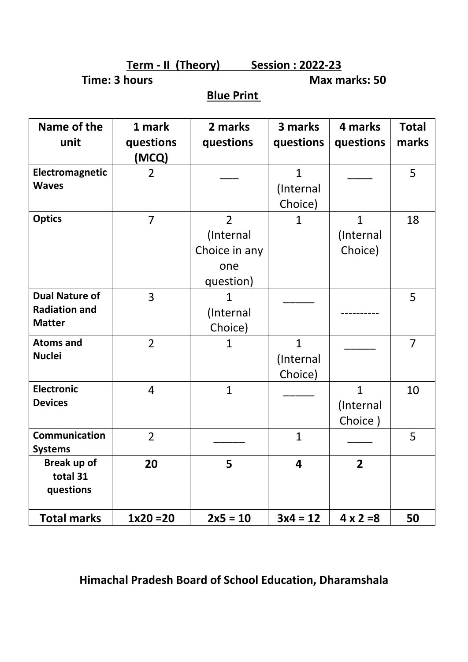**Term - II (Theory) Session : 2022-23**

**Time: 3 hours Max marks: 50** 

# **Blue Print**

| Name of the<br>unit                                            | 1 mark<br>questions<br>(MCQ) | 2 marks<br>questions                                             | 3 marks<br>questions                 | 4 marks<br>questions                 | <b>Total</b><br>marks |
|----------------------------------------------------------------|------------------------------|------------------------------------------------------------------|--------------------------------------|--------------------------------------|-----------------------|
| Electromagnetic<br><b>Waves</b>                                | $\overline{2}$               |                                                                  | $\mathbf{1}$<br>(Internal<br>Choice) |                                      | 5                     |
| <b>Optics</b>                                                  | $\overline{7}$               | $\overline{2}$<br>(Internal<br>Choice in any<br>one<br>question) | $\mathbf{1}$                         | $\mathbf{1}$<br>(Internal<br>Choice) | 18                    |
| <b>Dual Nature of</b><br><b>Radiation and</b><br><b>Matter</b> | $\overline{3}$               | $\mathbf{1}$<br>(Internal<br>Choice)                             |                                      |                                      | 5                     |
| <b>Atoms and</b><br><b>Nuclei</b>                              | $\overline{2}$               | $\mathbf{1}$                                                     | $\mathbf{1}$<br>(Internal<br>Choice) |                                      | $\overline{7}$        |
| <b>Electronic</b><br><b>Devices</b>                            | $\overline{4}$               | $\mathbf{1}$                                                     |                                      | $\mathbf{1}$<br>(Internal<br>Choice) | 10                    |
| <b>Communication</b><br><b>Systems</b>                         | $\overline{2}$               |                                                                  | $\mathbf{1}$                         |                                      | 5                     |
| Break up of<br>total 31<br>questions                           | 20                           | 5                                                                | $\overline{\mathbf{4}}$              | $\overline{2}$                       |                       |
| <b>Total marks</b>                                             | $1x20 = 20$                  | $2x5 = 10$                                                       | $3x4 = 12$                           | $4 \times 2 = 8$                     | 50                    |